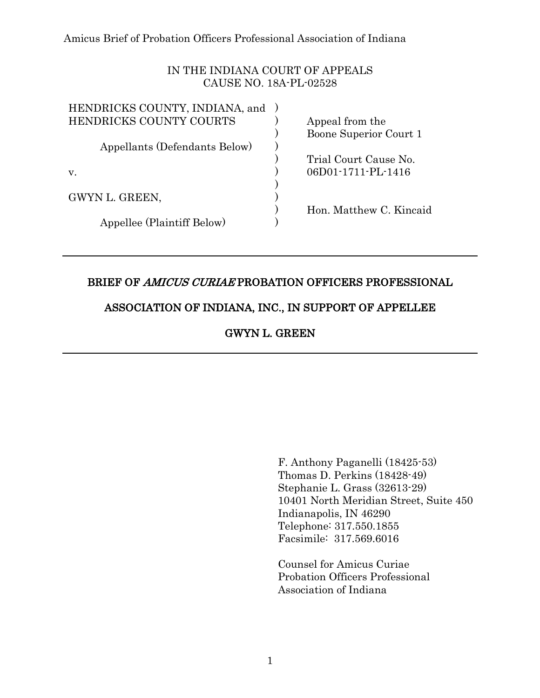# IN THE INDIANA COURT OF APPEALS CAUSE NO. 18A-PL-02528

| Appeal from the         |
|-------------------------|
| Boone Superior Court 1  |
|                         |
| Trial Court Cause No.   |
| 06D01-1711-PL-1416      |
|                         |
|                         |
| Hon. Matthew C. Kincaid |
|                         |
|                         |

# BRIEF OF AMICUS CURIAE PROBATION OFFICERS PROFESSIONAL

## ASSOCIATION OF INDIANA, INC., IN SUPPORT OF APPELLEE

GWYN L. GREEN

F. Anthony Paganelli (18425-53) Thomas D. Perkins (18428-49) Stephanie L. Grass (32613-29) 10401 North Meridian Street, Suite 450 Indianapolis, IN 46290 Telephone: 317.550.1855 Facsimile: 317.569.6016

Counsel for Amicus Curiae Probation Officers Professional Association of Indiana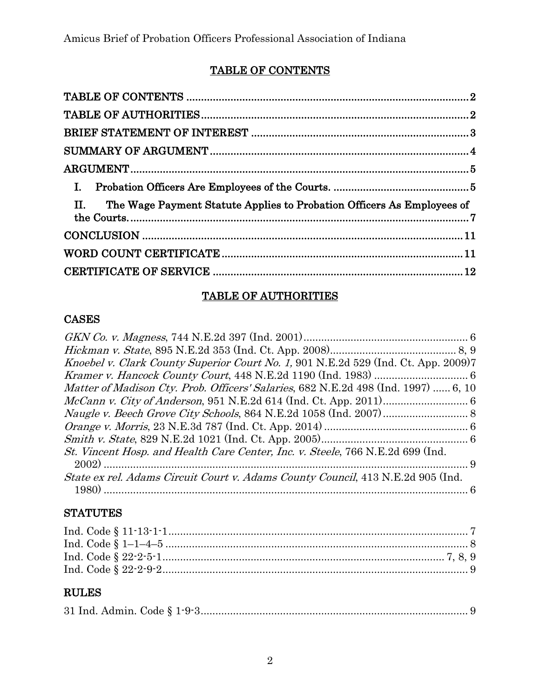# TABLE OF CONTENTS

| $\Pi$ .<br>The Wage Payment Statute Applies to Probation Officers As Employees of |  |
|-----------------------------------------------------------------------------------|--|
|                                                                                   |  |
|                                                                                   |  |
|                                                                                   |  |

# TABLE OF AUTHORITIES

# CASES

| Knoebel v. Clark County Superior Court No. 1, 901 N.E.2d 529 (Ind. Ct. App. 2009)7         |
|--------------------------------------------------------------------------------------------|
|                                                                                            |
| <i>Matter of Madison Cty. Prob. Officers' Salaries</i> , 682 N.E.2d 498 (Ind. 1997)  6, 10 |
|                                                                                            |
|                                                                                            |
|                                                                                            |
|                                                                                            |
| St. Vincent Hosp. and Health Care Center, Inc. v. Steele, 766 N.E.2d 699 (Ind.             |
|                                                                                            |
| State ex rel. Adams Circuit Court v. Adams County Council, 413 N.E.2d 905 (Ind.            |
|                                                                                            |
|                                                                                            |

# **STATUTES**

# RULES

|--|--|--|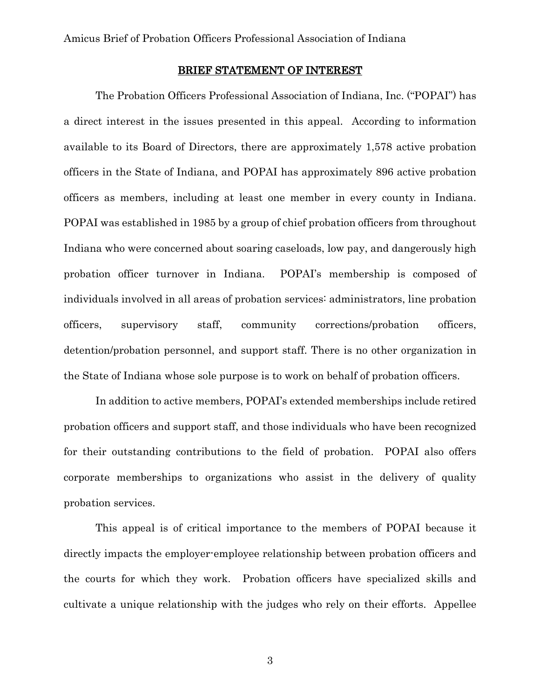#### BRIEF STATEMENT OF INTEREST

The Probation Officers Professional Association of Indiana, Inc. ("POPAI") has a direct interest in the issues presented in this appeal. According to information available to its Board of Directors, there are approximately 1,578 active probation officers in the State of Indiana, and POPAI has approximately 896 active probation officers as members, including at least one member in every county in Indiana. POPAI was established in 1985 by a group of chief probation officers from throughout Indiana who were concerned about soaring caseloads, low pay, and dangerously high probation officer turnover in Indiana. POPAI's membership is composed of individuals involved in all areas of probation services: administrators, line probation officers, supervisory staff, community corrections/probation officers, detention/probation personnel, and support staff. There is no other organization in the State of Indiana whose sole purpose is to work on behalf of probation officers.

In addition to active members, POPAI's extended memberships include retired probation officers and support staff, and those individuals who have been recognized for their outstanding contributions to the field of probation. POPAI also offers corporate memberships to organizations who assist in the delivery of quality probation services.

This appeal is of critical importance to the members of POPAI because it directly impacts the employer-employee relationship between probation officers and the courts for which they work. Probation officers have specialized skills and cultivate a unique relationship with the judges who rely on their efforts. Appellee

3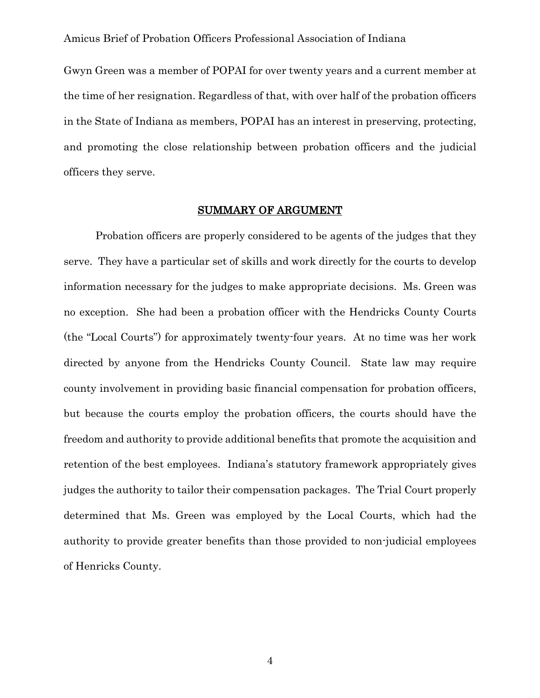Gwyn Green was a member of POPAI for over twenty years and a current member at the time of her resignation. Regardless of that, with over half of the probation officers in the State of Indiana as members, POPAI has an interest in preserving, protecting, and promoting the close relationship between probation officers and the judicial officers they serve.

#### SUMMARY OF ARGUMENT

Probation officers are properly considered to be agents of the judges that they serve. They have a particular set of skills and work directly for the courts to develop information necessary for the judges to make appropriate decisions. Ms. Green was no exception. She had been a probation officer with the Hendricks County Courts (the "Local Courts") for approximately twenty-four years. At no time was her work directed by anyone from the Hendricks County Council. State law may require county involvement in providing basic financial compensation for probation officers, but because the courts employ the probation officers, the courts should have the freedom and authority to provide additional benefits that promote the acquisition and retention of the best employees. Indiana's statutory framework appropriately gives judges the authority to tailor their compensation packages. The Trial Court properly determined that Ms. Green was employed by the Local Courts, which had the authority to provide greater benefits than those provided to non-judicial employees of Henricks County.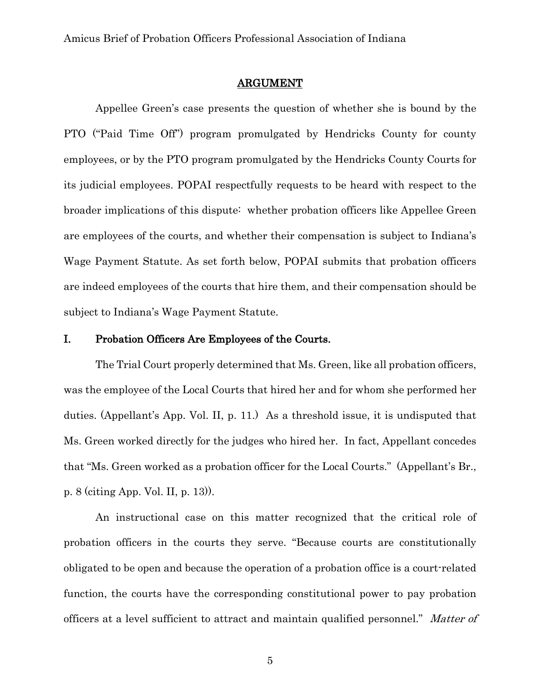#### ARGUMENT

Appellee Green's case presents the question of whether she is bound by the PTO ("Paid Time Off") program promulgated by Hendricks County for county employees, or by the PTO program promulgated by the Hendricks County Courts for its judicial employees. POPAI respectfully requests to be heard with respect to the broader implications of this dispute: whether probation officers like Appellee Green are employees of the courts, and whether their compensation is subject to Indiana's Wage Payment Statute. As set forth below, POPAI submits that probation officers are indeed employees of the courts that hire them, and their compensation should be subject to Indiana's Wage Payment Statute.

#### I. Probation Officers Are Employees of the Courts.

The Trial Court properly determined that Ms. Green, like all probation officers, was the employee of the Local Courts that hired her and for whom she performed her duties. (Appellant's App. Vol. II, p. 11.) As a threshold issue, it is undisputed that Ms. Green worked directly for the judges who hired her. In fact, Appellant concedes that "Ms. Green worked as a probation officer for the Local Courts." (Appellant's Br., p. 8 (citing App. Vol. II, p. 13)).

An instructional case on this matter recognized that the critical role of probation officers in the courts they serve. "Because courts are constitutionally obligated to be open and because the operation of a probation office is a court-related function, the courts have the corresponding constitutional power to pay probation officers at a level sufficient to attract and maintain qualified personnel." Matter of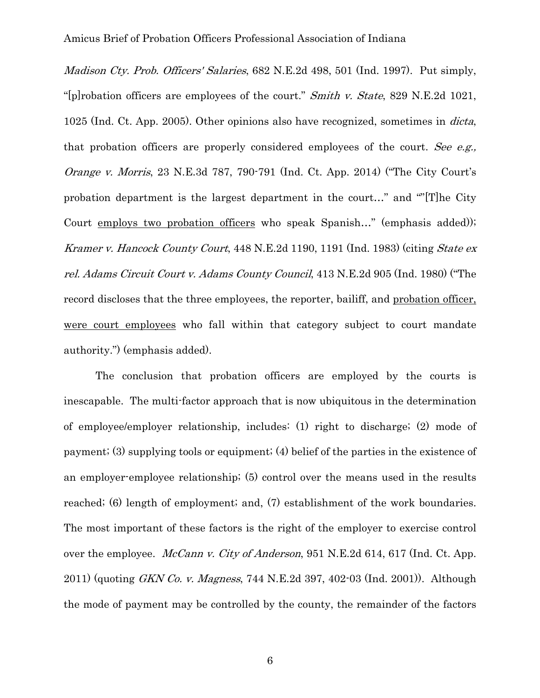Madison Cty. Prob. Officers' Salaries, 682 N.E.2d 498, 501 (Ind. 1997). Put simply, "[p]robation officers are employees of the court." Smith v. State, 829 N.E.2d 1021, 1025 (Ind. Ct. App. 2005). Other opinions also have recognized, sometimes in dicta, that probation officers are properly considered employees of the court. See e.g., Orange v. Morris, 23 N.E.3d 787, 790-791 (Ind. Ct. App. 2014) ("The City Court's probation department is the largest department in the court…" and ""[T]he City Court employs two probation officers who speak Spanish…" (emphasis added)); Kramer v. Hancock County Court, 448 N.E.2d 1190, 1191 (Ind. 1983) (citing State ex rel. Adams Circuit Court v. Adams County Council, 413 N.E.2d 905 (Ind. 1980) ("The record discloses that the three employees, the reporter, bailiff, and probation officer, were court employees who fall within that category subject to court mandate authority.") (emphasis added).

The conclusion that probation officers are employed by the courts is inescapable. The multi-factor approach that is now ubiquitous in the determination of employee/employer relationship, includes: (1) right to discharge; (2) mode of payment; (3) supplying tools or equipment; (4) belief of the parties in the existence of an employer-employee relationship; (5) control over the means used in the results reached; (6) length of employment; and, (7) establishment of the work boundaries. The most important of these factors is the right of the employer to exercise control over the employee. *McCann v. City of Anderson*, 951 N.E.2d 614, 617 (Ind. Ct. App.) 2011) (quoting *GKN Co. v. Magness*, 744 N.E.2d 397, 402-03 (Ind. 2001)). Although the mode of payment may be controlled by the county, the remainder of the factors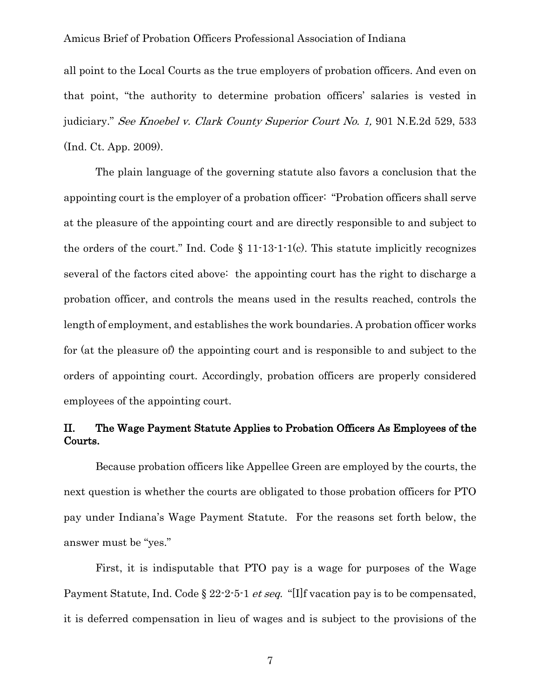all point to the Local Courts as the true employers of probation officers. And even on that point, "the authority to determine probation officers' salaries is vested in judiciary." See Knoebel v. Clark County Superior Court No. 1, 901 N.E.2d 529, 533 (Ind. Ct. App. 2009).

The plain language of the governing statute also favors a conclusion that the appointing court is the employer of a probation officer: "Probation officers shall serve at the pleasure of the appointing court and are directly responsible to and subject to the orders of the court." Ind. Code  $\S 11-13-1-1(c)$ . This statute implicitly recognizes several of the factors cited above: the appointing court has the right to discharge a probation officer, and controls the means used in the results reached, controls the length of employment, and establishes the work boundaries. A probation officer works for (at the pleasure of) the appointing court and is responsible to and subject to the orders of appointing court. Accordingly, probation officers are properly considered employees of the appointing court.

# II. The Wage Payment Statute Applies to Probation Officers As Employees of the Courts.

Because probation officers like Appellee Green are employed by the courts, the next question is whether the courts are obligated to those probation officers for PTO pay under Indiana's Wage Payment Statute. For the reasons set forth below, the answer must be "yes."

First, it is indisputable that PTO pay is a wage for purposes of the Wage Payment Statute, Ind. Code § 22-2-5-1 *et seq.* "[I]f vacation pay is to be compensated, it is deferred compensation in lieu of wages and is subject to the provisions of the

7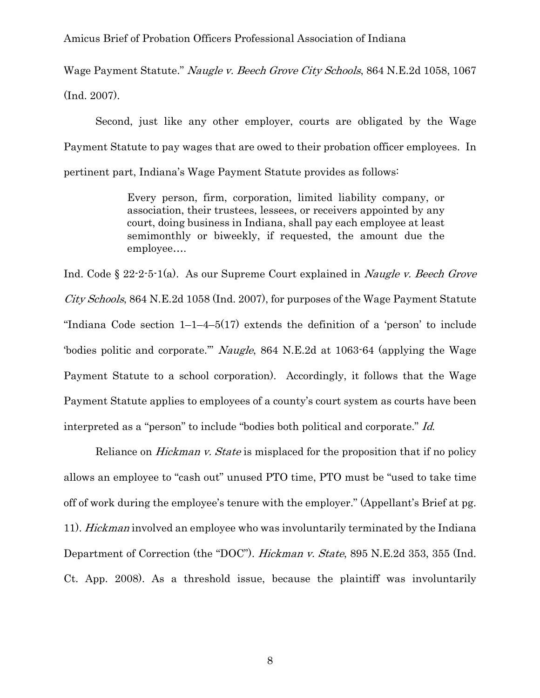Wage Payment Statute." Naugle v. Beech Grove City Schools, 864 N.E.2d 1058, 1067 (Ind. 2007).

Second, just like any other employer, courts are obligated by the Wage Payment Statute to pay wages that are owed to their probation officer employees. In pertinent part, Indiana's Wage Payment Statute provides as follows:

> Every person, firm, corporation, limited liability company, or association, their trustees, lessees, or receivers appointed by any court, doing business in Indiana, shall pay each employee at least semimonthly or biweekly, if requested, the amount due the employee….

Ind. Code § 22-2-5-1(a). As our Supreme Court explained in *Naugle v. Beech Grove* City Schools, 864 N.E.2d 1058 (Ind. 2007), for purposes of the Wage Payment Statute "Indiana Code section  $1-1-4-5(17)$  extends the definition of a 'person' to include 'bodies politic and corporate."" Naugle, 864 N.E.2d at 1063-64 (applying the Wage Payment Statute to a school corporation). Accordingly, it follows that the Wage Payment Statute applies to employees of a county's court system as courts have been interpreted as a "person" to include "bodies both political and corporate." Id.

Reliance on *Hickman v. State* is misplaced for the proposition that if no policy allows an employee to "cash out" unused PTO time, PTO must be "used to take time off of work during the employee's tenure with the employer." (Appellant's Brief at pg. 11). Hickman involved an employee who was involuntarily terminated by the Indiana Department of Correction (the "DOC"). *Hickman v. State*, 895 N.E.2d 353, 355 (Ind. Ct. App. 2008). As a threshold issue, because the plaintiff was involuntarily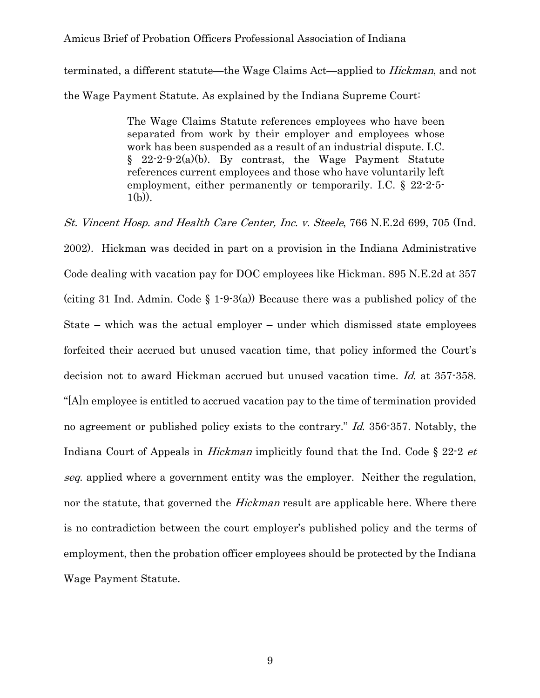terminated, a different statute—the Wage Claims Act—applied to Hickman, and not the Wage Payment Statute. As explained by the Indiana Supreme Court:

> The Wage Claims Statute references employees who have been separated from work by their employer and employees whose work has been suspended as a result of an industrial dispute. I.C.  $\S$  22-2-9-2(a)(b). By contrast, the Wage Payment Statute references current employees and those who have voluntarily left employment, either permanently or temporarily. I.C. § 22-2-5-  $1(b)$ ).

St. Vincent Hosp. and Health Care Center, Inc. v. Steele, 766 N.E.2d 699, 705 (Ind. 2002). Hickman was decided in part on a provision in the Indiana Administrative Code dealing with vacation pay for DOC employees like Hickman. 895 N.E.2d at 357 (citing 31 Ind. Admin. Code  $\S$  1.9.3(a)) Because there was a published policy of the State – which was the actual employer – under which dismissed state employees forfeited their accrued but unused vacation time, that policy informed the Court's decision not to award Hickman accrued but unused vacation time. Id. at 357-358. "[A]n employee is entitled to accrued vacation pay to the time of termination provided no agreement or published policy exists to the contrary." Id. 356-357. Notably, the Indiana Court of Appeals in *Hickman* implicitly found that the Ind. Code § 22-2 et seq. applied where a government entity was the employer. Neither the regulation, nor the statute, that governed the *Hickman* result are applicable here. Where there is no contradiction between the court employer's published policy and the terms of employment, then the probation officer employees should be protected by the Indiana Wage Payment Statute.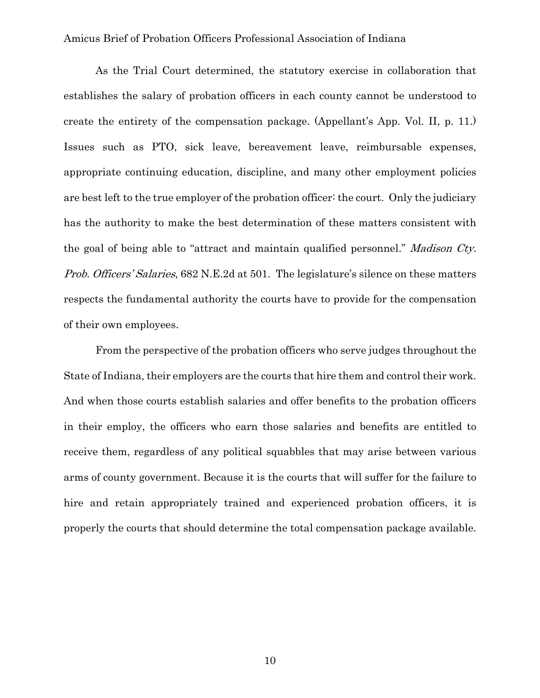As the Trial Court determined, the statutory exercise in collaboration that establishes the salary of probation officers in each county cannot be understood to create the entirety of the compensation package. (Appellant's App. Vol. II, p. 11.) Issues such as PTO, sick leave, bereavement leave, reimbursable expenses, appropriate continuing education, discipline, and many other employment policies are best left to the true employer of the probation officer: the court. Only the judiciary has the authority to make the best determination of these matters consistent with the goal of being able to "attract and maintain qualified personnel." Madison Cty. Prob. Officers' Salaries, 682 N.E.2d at 501. The legislature's silence on these matters respects the fundamental authority the courts have to provide for the compensation of their own employees.

From the perspective of the probation officers who serve judges throughout the State of Indiana, their employers are the courts that hire them and control their work. And when those courts establish salaries and offer benefits to the probation officers in their employ, the officers who earn those salaries and benefits are entitled to receive them, regardless of any political squabbles that may arise between various arms of county government. Because it is the courts that will suffer for the failure to hire and retain appropriately trained and experienced probation officers, it is properly the courts that should determine the total compensation package available.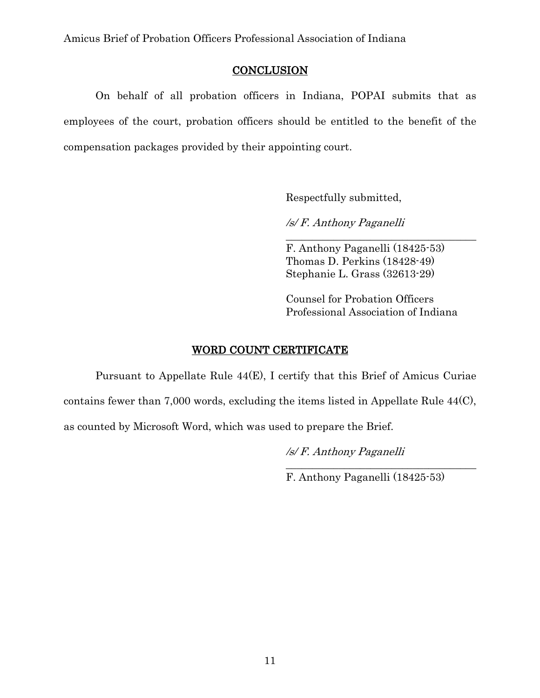### **CONCLUSION**

On behalf of all probation officers in Indiana, POPAI submits that as employees of the court, probation officers should be entitled to the benefit of the compensation packages provided by their appointing court.

Respectfully submitted,

/s/ F. Anthony Paganelli

F. Anthony Paganelli (18425-53) Thomas D. Perkins (18428-49) Stephanie L. Grass (32613-29)

\_\_\_\_\_\_\_\_\_\_\_\_\_\_\_\_\_\_\_\_\_\_\_\_\_\_\_\_\_\_\_\_\_\_\_\_

Counsel for Probation Officers Professional Association of Indiana

# WORD COUNT CERTIFICATE

Pursuant to Appellate Rule 44(E), I certify that this Brief of Amicus Curiae

contains fewer than 7,000 words, excluding the items listed in Appellate Rule 44(C),

as counted by Microsoft Word, which was used to prepare the Brief.

/s/ F. Anthony Paganelli

F. Anthony Paganelli (18425-53)

\_\_\_\_\_\_\_\_\_\_\_\_\_\_\_\_\_\_\_\_\_\_\_\_\_\_\_\_\_\_\_\_\_\_\_\_